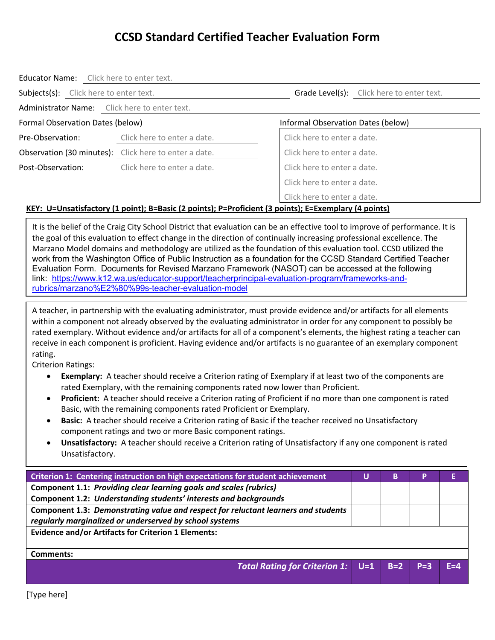| Educator Name: Click here to enter text.      |                                                       |                                                                                                                                                                                                                                                                                                                                                                                                                          |
|-----------------------------------------------|-------------------------------------------------------|--------------------------------------------------------------------------------------------------------------------------------------------------------------------------------------------------------------------------------------------------------------------------------------------------------------------------------------------------------------------------------------------------------------------------|
| Subjects(s): Click here to enter text.        |                                                       | Grade Level(s): Click here to enter text.                                                                                                                                                                                                                                                                                                                                                                                |
| Administrator Name: Click here to enter text. |                                                       |                                                                                                                                                                                                                                                                                                                                                                                                                          |
| Formal Observation Dates (below)              |                                                       | Informal Observation Dates (below)                                                                                                                                                                                                                                                                                                                                                                                       |
| Pre-Observation:                              | Click here to enter a date.                           | Click here to enter a date.                                                                                                                                                                                                                                                                                                                                                                                              |
|                                               | Observation (30 minutes): Click here to enter a date. | Click here to enter a date.                                                                                                                                                                                                                                                                                                                                                                                              |
| Post-Observation:                             | Click here to enter a date.                           | Click here to enter a date.                                                                                                                                                                                                                                                                                                                                                                                              |
|                                               |                                                       | Click here to enter a date.                                                                                                                                                                                                                                                                                                                                                                                              |
|                                               |                                                       | Click here to enter a date.<br>$VUV.$ U-Uncertable them, $(A, \text{ne}(A, D, \text{ne}(A, D, \text{ne}(A), D, D, \text{ne}(A, \text{ne}(A, D, \text{ne}(A, D, \text{ne}(A, D, \text{ne}(B, D, \text{ne}(B, D, \text{ne}(B, D, \text{ne}(B, D, \text{ne}(B, D, \text{ne}(B, D, \text{ne}(B, D, \text{ne}(B, D, \text{ne}(B, D, \text{ne}(B, D, \text{ne}(B, D, \text{ne}(B, D, \text{ne}(B, D, \text{ne}(B, D, \text{ne$ |

#### **KEY: U=Unsatisfactory (1 point); B=Basic (2 points); P=Proficient (3 points); E=Exemplary (4 points)**

It is the belief of the Craig City School District that evaluation can be an effective tool to improve of performance. It is the goal of this evaluation to effect change in the direction of continually increasing professional excellence. The Marzano Model domains and methodology are utilized as the foundation of this evaluation tool. CCSD utilized the work from the Washington Office of Public Instruction as a foundation for the CCSD Standard Certified Teacher Evaluation Form. Documents for Revised Marzano Framework (NASOT) can be accessed at the following link: https://www.k12.wa.us/educator-support/teacherprincipal-evaluation-program/frameworks-andrubrics/marzano%E2%80%99s-teacher-evaluation-model

A teacher, in partnership with the evaluating administrator, must provide evidence and/or artifacts for all elements within a component not already observed by the evaluating administrator in order for any component to possibly be rated exemplary. Without evidence and/or artifacts for all of a component's elements, the highest rating a teacher can receive in each component is proficient. Having evidence and/or artifacts is no guarantee of an exemplary component rating.

Criterion Ratings:

- **Exemplary:** A teacher should receive a Criterion rating of Exemplary if at least two of the components are rated Exemplary, with the remaining components rated now lower than Proficient.
- **Proficient:** A teacher should receive a Criterion rating of Proficient if no more than one component is rated Basic, with the remaining components rated Proficient or Exemplary.
- **Basic:** A teacher should receive a Criterion rating of Basic if the teacher received no Unsatisfactory component ratings and two or more Basic component ratings.
- **Unsatisfactory:** A teacher should receive a Criterion rating of Unsatisfactory if any one component is rated Unsatisfactory.

| Criterion 1: Centering instruction on high expectations for student achievement    |  | B |  |
|------------------------------------------------------------------------------------|--|---|--|
| Component 1.1: Providing clear learning goals and scales (rubrics)                 |  |   |  |
| Component 1.2: Understanding students' interests and backgrounds                   |  |   |  |
| Component 1.3: Demonstrating value and respect for reluctant learners and students |  |   |  |
| regularly marginalized or underserved by school systems                            |  |   |  |
| <b>Evidence and/or Artifacts for Criterion 1 Elements:</b>                         |  |   |  |
|                                                                                    |  |   |  |
| Comments:                                                                          |  |   |  |
| ________<br>. .                                                                    |  |   |  |

*Total Rating for Criterion 1:* **U=1 B=2 P=3 E=4**

[Type here]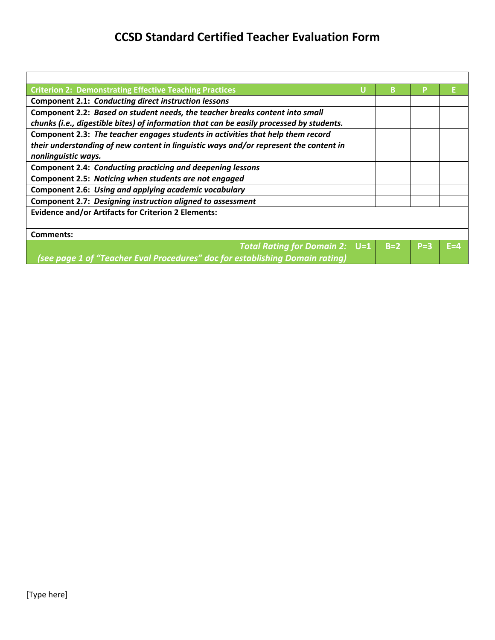| <b>Criterion 2: Demonstrating Effective Teaching Practices</b>                           |  | в     |         |     |
|------------------------------------------------------------------------------------------|--|-------|---------|-----|
| <b>Component 2.1: Conducting direct instruction lessons</b>                              |  |       |         |     |
| Component 2.2: Based on student needs, the teacher breaks content into small             |  |       |         |     |
| chunks (i.e., digestible bites) of information that can be easily processed by students. |  |       |         |     |
| Component 2.3: The teacher engages students in activities that help them record          |  |       |         |     |
| their understanding of new content in linguistic ways and/or represent the content in    |  |       |         |     |
| nonlinguistic ways.                                                                      |  |       |         |     |
| Component 2.4: Conducting practicing and deepening lessons                               |  |       |         |     |
| Component 2.5: Noticing when students are not engaged                                    |  |       |         |     |
| Component 2.6: Using and applying academic vocabulary                                    |  |       |         |     |
| Component 2.7: Designing instruction aligned to assessment                               |  |       |         |     |
| <b>Evidence and/or Artifacts for Criterion 2 Elements:</b>                               |  |       |         |     |
|                                                                                          |  |       |         |     |
| <b>Comments:</b>                                                                         |  |       |         |     |
| <b>Total Rating for Domain 2: U=1</b>                                                    |  | $B=2$ | $P = 3$ | F=4 |
| (see page 1 of "Teacher Eval Procedures" doc for establishing Do <u>main rating</u> )    |  |       |         |     |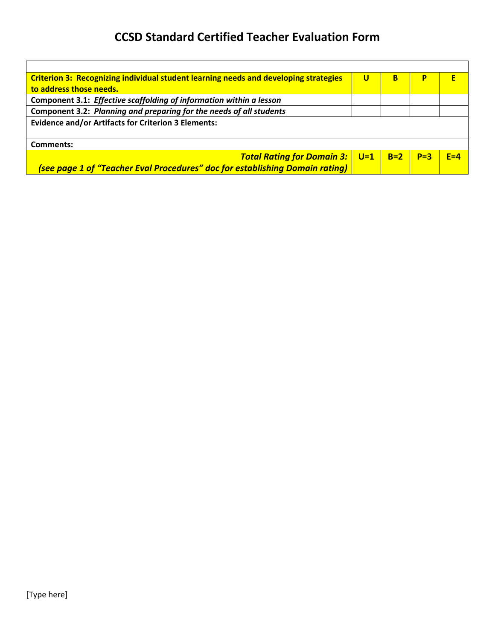| Criterion 3: Recognizing individual student learning needs and developing strategies |                            | в     | P     |         |
|--------------------------------------------------------------------------------------|----------------------------|-------|-------|---------|
| to address those needs.                                                              |                            |       |       |         |
| Component 3.1: Effective scaffolding of information within a lesson                  |                            |       |       |         |
| Component 3.2: Planning and preparing for the needs of all students                  |                            |       |       |         |
| <b>Evidence and/or Artifacts for Criterion 3 Elements:</b>                           |                            |       |       |         |
|                                                                                      |                            |       |       |         |
| Comments:                                                                            |                            |       |       |         |
| <b>Total Rating for Domain 3:</b>                                                    | $\overline{\mathsf{U}}$ =1 | $B=2$ | $P=3$ | $F = 4$ |
| (see page 1 of "Teacher Eval Procedures" doc for establishing Domain rating)         |                            |       |       |         |

Г